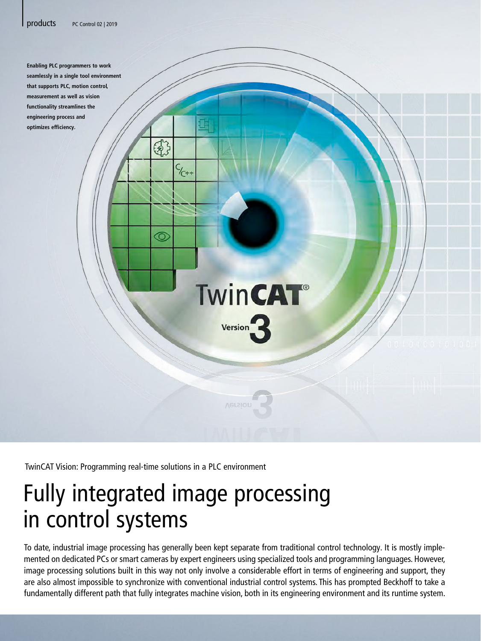

|

**Enabling PLC programmers to work seamlessly in a single tool environment that supports PLC, motion control, measurement as well as vision functionality streamlines the engineering process and optimizes efficiency.**

TwinCAT Vision: Programming real-time solutions in a PLC environment

 $G_3$ 

 $\odot$ 

 $C_{1}$ 

## Fully integrated image processing in control systems

To date, industrial image processing has generally been kept separate from traditional control technology. It is mostly implemented on dedicated PCs or smart cameras by expert engineers using specialized tools and programming languages. However, image processing solutions built in this way not only involve a considerable effort in terms of engineering and support, they are also almost impossible to synchronize with conventional industrial control systems. This has prompted Beckhoff to take a fundamentally different path that fully integrates machine vision, both in its engineering environment and its runtime system.

**TwinCAT®** 

**Version**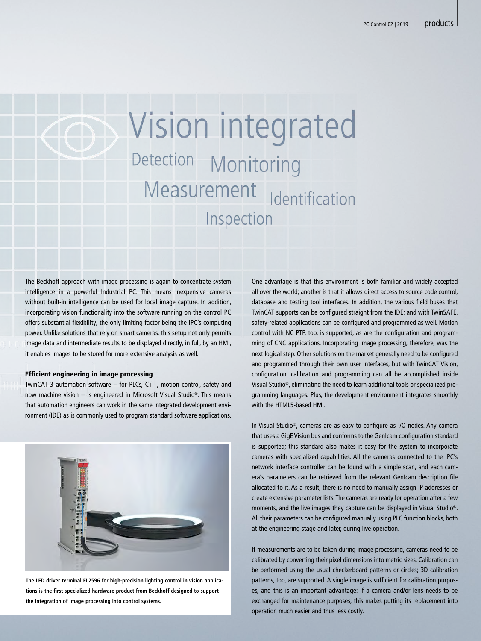|

# Vision integrated Detection Monitoring Measurement dentification Inspection

The Beckhoff approach with image processing is again to concentrate system intelligence in a powerful Industrial PC. This means inexpensive cameras without built-in intelligence can be used for local image capture. In addition, incorporating vision functionality into the software running on the control PC offers substantial flexibility, the only limiting factor being the IPC's computing power. Unlike solutions that rely on smart cameras, this setup not only permits image data and intermediate results to be displayed directly, in full, by an HMI, it enables images to be stored for more extensive analysis as well.

#### Efficient engineering in image processing

TwinCAT 3 automation software – for PLCs, C++, motion control, safety and now machine vision – is engineered in Microsoft Visual Studio®. This means that automation engineers can work in the same integrated development environment (IDE) as is commonly used to program standard software applications.



**The LED driver terminal EL2596 for high-precision lighting control in vision applications is the first specialized hardware product from Beckhoff designed to support the integration of image processing into control systems.**

One advantage is that this environment is both familiar and widely accepted all over the world; another is that it allows direct access to source code control, database and testing tool interfaces. In addition, the various field buses that TwinCAT supports can be configured straight from the IDE; and with TwinSAFE, safety-related applications can be configured and programmed as well. Motion control with NC PTP, too, is supported, as are the configuration and programming of CNC applications. Incorporating image processing, therefore, was the next logical step. Other solutions on the market generally need to be configured and programmed through their own user interfaces, but with TwinCAT Vision, configuration, calibration and programming can all be accomplished inside Visual Studio®, eliminating the need to learn additional tools or specialized programming languages. Plus, the development environment integrates smoothly with the HTML5-based HML

In Visual Studio®, cameras are as easy to configure as I/O nodes. Any camera that uses a GigE Vision bus and conforms to the GenIcam configuration standard is supported; this standard also makes it easy for the system to incorporate cameras with specialized capabilities. All the cameras connected to the IPC's network interface controller can be found with a simple scan, and each camera's parameters can be retrieved from the relevant GenIcam description file allocated to it. As a result, there is no need to manually assign IP addresses or create extensive parameter lists. The cameras are ready for operation after a few moments, and the live images they capture can be displayed in Visual Studio®. All their parameters can be configured manually using PLC function blocks, both at the engineering stage and later, during live operation.

If measurements are to be taken during image processing, cameras need to be calibrated by converting their pixel dimensions into metric sizes. Calibration can be performed using the usual checkerboard patterns or circles; 3D calibration patterns, too, are supported. A single image is sufficient for calibration purposes, and this is an important advantage: If a camera and/or lens needs to be exchanged for maintenance purposes, this makes putting its replacement into operation much easier and thus less costly.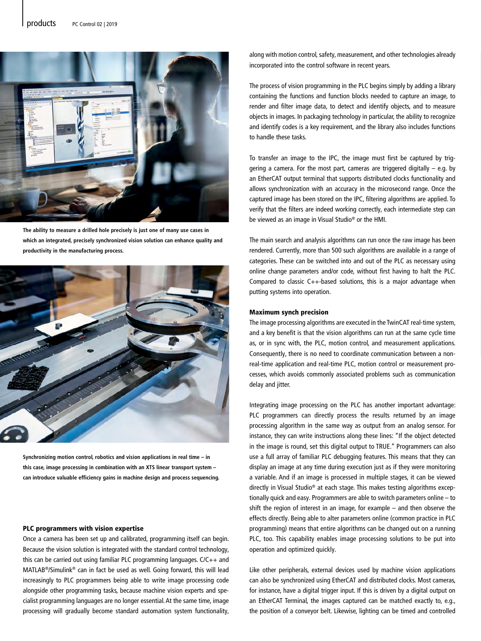

**The ability to measure a drilled hole precisely is just one of many use cases in which an integrated, precisely synchronized vision solution can enhance quality and productivity in the manufacturing process.**



**Synchronizing motion control, robotics and vision applications in real time – in this case, image processing in combination with an XTS linear transport system – can introduce valuable efficiency gains in machine design and process sequencing.**

#### PLC programmers with vision expertise

Once a camera has been set up and calibrated, programming itself can begin. Because the vision solution is integrated with the standard control technology, this can be carried out using familiar PLC programming languages. C/C++ and MATLAB®/Simulink® can in fact be used as well. Going forward, this will lead increasingly to PLC programmers being able to write image processing code alongside other programming tasks, because machine vision experts and specialist programming languages are no longer essential. At the same time, image processing will gradually become standard automation system functionality, along with motion control, safety, measurement, and other technologies already incorporated into the control software in recent years.

The process of vision programming in the PLC begins simply by adding a library containing the functions and function blocks needed to capture an image, to render and filter image data, to detect and identify objects, and to measure objects in images. In packaging technology in particular, the ability to recognize and identify codes is a key requirement, and the library also includes functions to handle these tasks.

To transfer an image to the IPC, the image must first be captured by triggering a camera. For the most part, cameras are triggered digitally – e.g. by an EtherCAT output terminal that supports distributed clocks functionality and allows synchronization with an accuracy in the microsecond range. Once the captured image has been stored on the IPC, filtering algorithms are applied. To verify that the filters are indeed working correctly, each intermediate step can be viewed as an image in Visual Studio® or the HMI.

The main search and analysis algorithms can run once the raw image has been rendered. Currently, more than 500 such algorithms are available in a range of categories. These can be switched into and out of the PLC as necessary using online change parameters and/or code, without first having to halt the PLC. Compared to classic C++-based solutions, this is a major advantage when putting systems into operation.

### Maximum synch precision

The image processing algorithms are executed in the TwinCAT real-time system, and a key benefit is that the vision algorithms can run at the same cycle time as, or in sync with, the PLC, motion control, and measurement applications. Consequently, there is no need to coordinate communication between a nonreal-time application and real-time PLC, motion control or measurement processes, which avoids commonly associated problems such as communication delay and jitter.

Integrating image processing on the PLC has another important advantage: PLC programmers can directly process the results returned by an image processing algorithm in the same way as output from an analog sensor. For instance, they can write instructions along these lines: "If the object detected in the image is round, set this digital output to TRUE." Programmers can also use a full array of familiar PLC debugging features. This means that they can display an image at any time during execution just as if they were monitoring a variable. And if an image is processed in multiple stages, it can be viewed directly in Visual Studio® at each stage. This makes testing algorithms exceptionally quick and easy. Programmers are able to switch parameters online – to shift the region of interest in an image, for example – and then observe the effects directly. Being able to alter parameters online (common practice in PLC programming) means that entire algorithms can be changed out on a running PLC, too. This capability enables image processing solutions to be put into operation and optimized quickly.

Like other peripherals, external devices used by machine vision applications can also be synchronized using EtherCAT and distributed clocks. Most cameras, for instance, have a digital trigger input. If this is driven by a digital output on an EtherCAT Terminal, the images captured can be matched exactly to, e.g., the position of a conveyor belt. Likewise, lighting can be timed and controlled